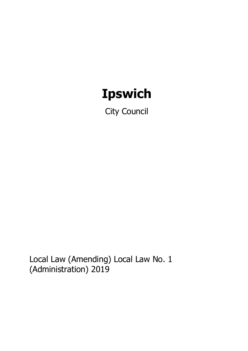# **Ipswich**

City Council

Local Law (Amending) Local Law No. 1 (Administration) 2019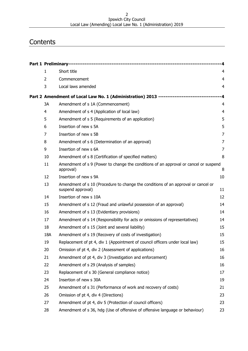#### Ipswich City Council Local Law (Amending) Local Law No. 1 (Administration) 2019

# **Contents**

| $\mathbf{1}$   | Short title                                                                                            | $\overline{4}$ |
|----------------|--------------------------------------------------------------------------------------------------------|----------------|
| $\overline{2}$ | Commencement                                                                                           | $\overline{4}$ |
| 3              | Local laws amended                                                                                     | 4              |
|                | Part 2 Amendment of Local Law No. 1 (Administration) 2013 ------------------------------               |                |
| 3A             | Amendment of s 1A (Commencement)                                                                       | $\overline{4}$ |
| $\overline{4}$ | Amendment of s 4 (Application of local law)                                                            | $\overline{4}$ |
| 5              | Amendment of s 5 (Requirements of an application)                                                      | 5              |
| 6              | Insertion of new s 5A                                                                                  | 5              |
| 7              | Insertion of new s 5B                                                                                  | 7              |
| 8              | Amendment of s 6 (Determination of an approval)                                                        | 7              |
| 9              | Insertion of new s 6A                                                                                  | 7              |
| 10             | Amendment of s 8 (Certification of specified matters)                                                  | 8              |
| 11             | Amendment of s 9 (Power to change the conditions of an approval or cancel or suspend<br>approval)      | 8              |
| 12             | Insertion of new s 9A                                                                                  | 10             |
| 13             | Amendment of s 10 (Procedure to change the conditions of an approval or cancel or<br>suspend approval) | 11             |
| 14             | Insertion of new s 10A                                                                                 | 12             |
| 15             | Amendment of s 12 (Fraud and unlawful possession of an approval)                                       | 14             |
| 16             | Amendment of s 13 (Evidentiary provisions)                                                             | 14             |
| 17             | Amendment of s 14 (Responsibility for acts or omissions of representatives)                            | 14             |
| 18             | Amendment of s 15 (Joint and several liability)                                                        | 15             |
| 18A            | Amendment of s 19 (Recovery of costs of investigation)                                                 | 15             |
| 19             | Replacement of pt 4, div 1 (Appointment of council officers under local law)                           | 15             |
| 20             | Omission of pt 4, div 2 (Assessment of applications)                                                   | 16             |
| 21             | Amendment of pt 4, div 3 (Investigation and enforcement)                                               | 16             |
| 22             | Amendment of s 29 (Analysis of samples)                                                                | 16             |
| 23             | Replacement of s 30 (General compliance notice)                                                        | 17             |
| 24             | Insertion of new s 30A                                                                                 | 19             |
| 25             | Amendment of s 31 (Performance of work and recovery of costs)                                          | 21             |
| 26             | Omission of pt 4, div 4 (Directions)                                                                   | 23             |
| 27             | Amendment of pt 4, div 5 (Protection of council officers)                                              | 23             |
| 28             | Amendment of s 36, hdg (Use of offensive of offensive language or behaviour)                           | 23             |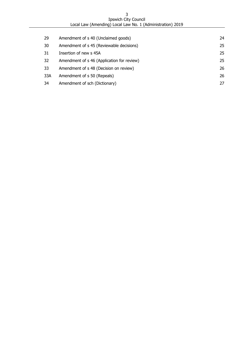| <b>Ipswich City Council</b>                                |
|------------------------------------------------------------|
| Local Law (Amending) Local Law No. 1 (Administration) 2019 |

| 29  | Amendment of s 40 (Unclaimed goods)        | 24 |
|-----|--------------------------------------------|----|
| 30  | Amendment of s 45 (Reviewable decisions)   | 25 |
| 31  | Insertion of new s 45A                     | 25 |
| 32  | Amendment of s 46 (Application for review) | 25 |
| 33  | Amendment of s 48 (Decision on review)     | 26 |
| 33A | Amendment of s 50 (Repeals)                | 26 |
| 34  | Amendment of sch (Dictionary)              | 27 |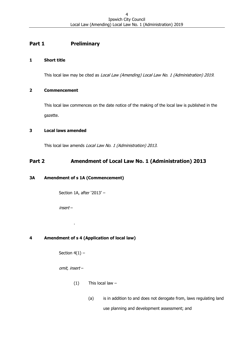# <span id="page-3-0"></span>**Part 1 Preliminary**

### <span id="page-3-1"></span>**1 Short title**

This local law may be cited as Local Law (Amending) Local Law No. 1 (Administration) 2019.

#### <span id="page-3-2"></span>**2 Commencement**

This local law commences on the date notice of the making of the local law is published in the gazette.

# <span id="page-3-3"></span>**3 Local laws amended**

This local law amends Local Law No. 1 (Administration) 2013.

# <span id="page-3-4"></span>**Part 2 Amendment of Local Law No. 1 (Administration) 2013**

# <span id="page-3-5"></span>**3A Amendment of s 1A (Commencement)**

Section 1A, after '2013' –

insert –

# <span id="page-3-6"></span>**4 Amendment of s 4 (Application of local law)**

Section  $4(1)$  –

.

omit, insert –

- $(1)$  This local law -
	- (a) is in addition to and does not derogate from, laws regulating land

use planning and development assessment; and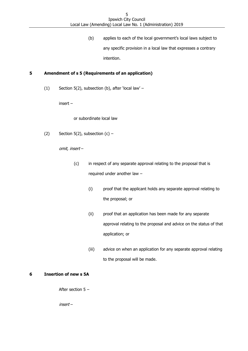(b) applies to each of the local government's local laws subject to any specific provision in a local law that expresses a contrary intention.

# <span id="page-4-0"></span>**5 Amendment of s 5 (Requirements of an application)**

(1) Section 5(2), subsection (b), after 'local law' –

insert –

or subordinate local law

(2) Section 5(2), subsection  $(c)$  –

omit, insert –

- (c) in respect of any separate approval relating to the proposal that is required under another law –
	- (i) proof that the applicant holds any separate approval relating to the proposal; or
	- (ii) proof that an application has been made for any separate approval relating to the proposal and advice on the status of that application; or
	- (iii) advice on when an application for any separate approval relating to the proposal will be made.

#### <span id="page-4-1"></span>**6 Insertion of new s 5A**

After section 5 –

insert –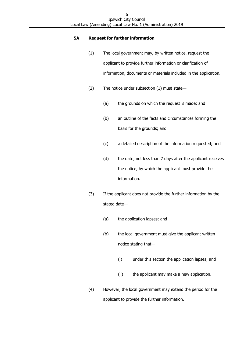#### **5A Request for further information**

- (1) The local government may, by written notice, request the applicant to provide further information or clarification of information, documents or materials included in the application.
- (2) The notice under subsection (1) must state—
	- (a) the grounds on which the request is made; and
	- (b) an outline of the facts and circumstances forming the basis for the grounds; and
	- (c) a detailed description of the information requested; and
	- (d) the date, not less than 7 days after the applicant receives the notice, by which the applicant must provide the information.
- (3) If the applicant does not provide the further information by the stated date—
	- (a) the application lapses; and
	- (b) the local government must give the applicant written notice stating that—
		- (i) under this section the application lapses; and
		- (ii) the applicant may make a new application.
- (4) However, the local government may extend the period for the applicant to provide the further information.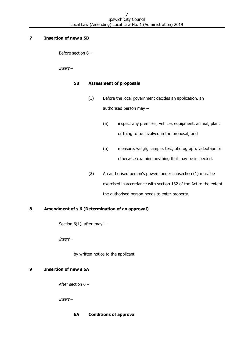#### <span id="page-6-0"></span>**7 Insertion of new s 5B**

Before section 6 –

insert –

#### **5B Assessment of proposals**

- (1) Before the local government decides an application, an authorised person may –
	- (a) inspect any premises, vehicle, equipment, animal, plant or thing to be involved in the proposal; and
	- (b) measure, weigh, sample, test, photograph, videotape or otherwise examine anything that may be inspected.
- (2) An authorised person's powers under subsection (1) must be exercised in accordance with section 132 of the Act to the extent the authorised person needs to enter property.

#### <span id="page-6-1"></span>**8 Amendment of s 6 (Determination of an approval)**

Section  $6(1)$ , after 'may' -

insert –

by written notice to the applicant

#### <span id="page-6-2"></span>**9 Insertion of new s 6A**

After section 6 –

insert –

#### **6A Conditions of approval**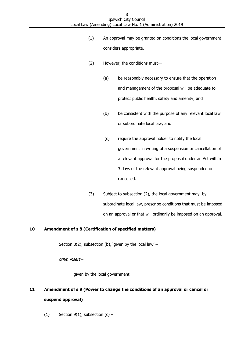- (1) An approval may be granted on conditions the local government considers appropriate.
- (2) However, the conditions must—
	- (a) be reasonably necessary to ensure that the operation and management of the proposal will be adequate to protect public health, safety and amenity; and
	- (b) be consistent with the purpose of any relevant local law or subordinate local law; and
	- (c) require the approval holder to notify the local government in writing of a suspension or cancellation of a relevant approval for the proposal under an Act within 3 days of the relevant approval being suspended or cancelled.
- (3) Subject to subsection (2), the local government may, by subordinate local law, prescribe conditions that must be imposed on an approval or that will ordinarily be imposed on an approval.

#### <span id="page-7-0"></span>**10 Amendment of s 8 (Certification of specified matters)**

Section 8(2), subsection (b), 'given by the local law'  $-$ 

omit, insert –

given by the local government

# <span id="page-7-1"></span>**11 Amendment of s 9 (Power to change the conditions of an approval or cancel or suspend approval)**

(1) Section  $9(1)$ , subsection  $(c)$  –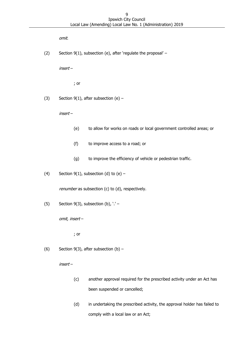omit.

(2) Section 9(1), subsection (e), after 'regulate the proposal' –

insert –

; or

(3) Section  $9(1)$ , after subsection (e) –

insert –

- (e) to allow for works on roads or local government controlled areas; or
- (f) to improve access to a road; or
- (g) to improve the efficiency of vehicle or pedestrian traffic.
- (4) Section  $9(1)$ , subsection (d) to (e) -

renumber as subsection (c) to (d), respectively.

(5) Section 9(3), subsection (b),  $\cdot$  ' -

omit, insert –

; or

(6) Section  $9(3)$ , after subsection (b) –

insert –

- (c) another approval required for the prescribed activity under an Act has been suspended or cancelled;
- (d) in undertaking the prescribed activity, the approval holder has failed to comply with a local law or an Act;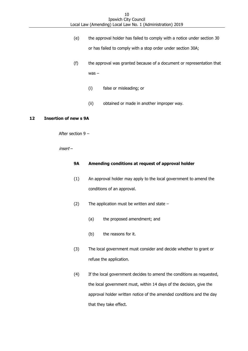- (e) the approval holder has failed to comply with a notice under section 30 or has failed to comply with a stop order under section 30A;
- (f) the approval was granted because of a document or representation that was –
	- (i) false or misleading; or
	- (ii) obtained or made in another improper way.

#### <span id="page-9-0"></span>**12 Insertion of new s 9A**

After section 9 –

insert –

#### **9A Amending conditions at request of approval holder**

- (1) An approval holder may apply to the local government to amend the conditions of an approval.
- (2) The application must be written and state  $-$ 
	- (a) the proposed amendment; and
	- (b) the reasons for it.
- (3) The local government must consider and decide whether to grant or refuse the application.
- (4) If the local government decides to amend the conditions as requested, the local government must, within 14 days of the decision, give the approval holder written notice of the amended conditions and the day that they take effect.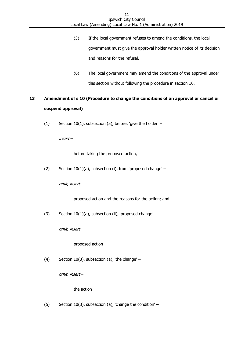- (5) If the local government refuses to amend the conditions, the local government must give the approval holder written notice of its decision and reasons for the refusal.
- (6) The local government may amend the conditions of the approval under this section without following the procedure in section 10.

# <span id="page-10-0"></span>**13 Amendment of s 10 (Procedure to change the conditions of an approval or cancel or suspend approval)**

(1) Section 10(1), subsection (a), before, 'give the holder' –

insert –

before taking the proposed action,

(2) Section  $10(1)(a)$ , subsection (i), from 'proposed change' –

omit, insert –

proposed action and the reasons for the action; and

(3) Section  $10(1)(a)$ , subsection (ii), 'proposed change' –

omit, insert –

proposed action

(4) Section 10(3), subsection (a), 'the change' –

omit, insert –

the action

(5) Section 10(3), subsection (a), 'change the condition' –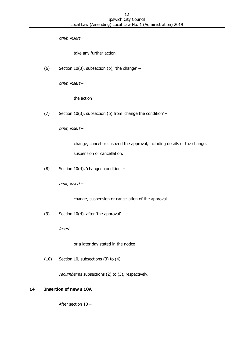omit, insert –

take any further action

(6) Section 10(3), subsection (b), 'the change' –

omit, insert –

the action

(7) Section 10(3), subsection (b) from 'change the condition' –

omit, insert –

change, cancel or suspend the approval, including details of the change, suspension or cancellation.

(8) Section 10(4), 'changed condition' –

omit, insert –

change, suspension or cancellation of the approval

(9) Section 10(4), after 'the approval' –

insert –

or a later day stated in the notice

(10) Section 10, subsections (3) to  $(4)$  –

renumber as subsections (2) to (3), respectively.

#### <span id="page-11-0"></span>**14 Insertion of new s 10A**

After section 10 –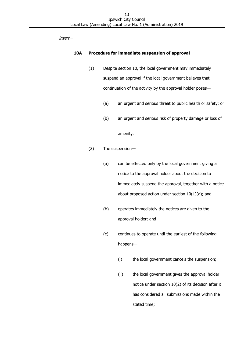insert –

#### **10A Procedure for immediate suspension of approval**

- (1) Despite section 10, the local government may immediately suspend an approval if the local government believes that continuation of the activity by the approval holder poses—
	- (a) an urgent and serious threat to public health or safety; or
	- (b) an urgent and serious risk of property damage or loss of amenity.
- (2) The suspension—
	- (a) can be effected only by the local government giving a notice to the approval holder about the decision to immediately suspend the approval, together with a notice about proposed action under section  $10(1)(a)$ ; and
	- (b) operates immediately the notices are given to the approval holder; and
	- (c) continues to operate until the earliest of the following happens—
		- (i) the local government cancels the suspension;
		- (ii) the local government gives the approval holder notice under section 10(2) of its decision after it has considered all submissions made within the stated time;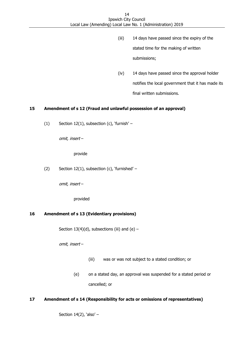- (iii) 14 days have passed since the expiry of the stated time for the making of written submissions;
- (iv) 14 days have passed since the approval holder notifies the local government that it has made its final written submissions.

#### <span id="page-13-0"></span>**15 Amendment of s 12 (Fraud and unlawful possession of an approval)**

(1) Section 12(1), subsection (c), 'furnish' –

omit, insert –

provide

(2) Section 12(1), subsection (c), 'furnished' –

omit, insert –

provided

#### <span id="page-13-1"></span>**16 Amendment of s 13 (Evidentiary provisions)**

Section 13(4)(d), subsections (iii) and (e)  $-$ 

omit, insert –

- (iii) was or was not subject to a stated condition; or
- (e) on a stated day, an approval was suspended for a stated period or cancelled; or

#### <span id="page-13-2"></span>**17 Amendment of s 14 (Responsibility for acts or omissions of representatives)**

Section  $14(2)$ , 'also' -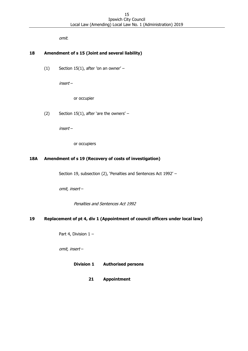omit.

### <span id="page-14-0"></span>**18 Amendment of s 15 (Joint and several liability)**

 $(1)$  Section 15(1), after 'on an owner' –

insert –

or occupier

(2) Section 15(1), after 'are the owners' –

insert –

or occupiers

#### <span id="page-14-1"></span>**18A Amendment of s 19 (Recovery of costs of investigation)**

Section 19, subsection (2), 'Penalties and Sentences Act 1992' –

omit, insert –

Penalties and Sentences Act 1992

#### <span id="page-14-2"></span>**19 Replacement of pt 4, div 1 (Appointment of council officers under local law)**

Part 4, Division 1 –

omit, insert –

**Division 1 Authorised persons**

**21 Appointment**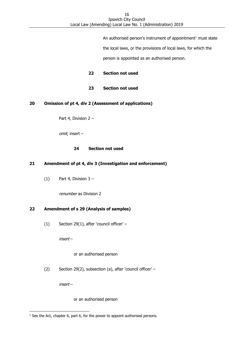An authorised person's instrument of appointment <sup>1</sup> must state the local laws, or the provisions of local laws, for which the person is appointed as an authorised person.

**22 Section not used**

**23 Section not used**

#### <span id="page-15-0"></span>**20 Omission of pt 4, div 2 (Assessment of applications)**

Part 4, Division 2 –

omit, insert –

#### **24 Section not used**

#### <span id="page-15-1"></span>**21 Amendment of pt 4, div 3 (Investigation and enforcement)**

 $(1)$  Part 4, Division 3 –

renumber as Division 2

#### <span id="page-15-2"></span>**22 Amendment of s 29 (Analysis of samples)**

(1) Section 29(1), after 'council officer' –

insert –

#### or an authorised person

(2) Section 29(2), subsection (a), after 'council officer' –

insert –

-

or an authorised person

 $1$  See the Act, chapter 6, part 6, for the power to appoint authorised persons.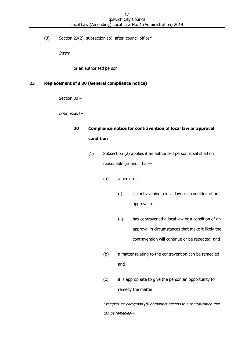(3) Section 29(2), subsection (b), after 'council officer' –

insert –

or an authorised person

# <span id="page-16-0"></span>**23 Replacement of s 30 (General compliance notice)**

Section 30 –

omit, insert –

# **30 Compliance notice for contravention of local law or approval condition**

- (1) Subsection (2) applies if an authorised person is satisfied on reasonable grounds that—
	- (a) a person—
		- (i) is contravening a local law or a condition of an approval; or
		- (ii) has contravened a local law or a condition of an approval in circumstances that make it likely the contravention will continue or be repeated; and
	- (b) a matter relating to the contravention can be remedied; and
	- (c) it is appropriate to give the person an opportunity to remedy the matter.

Examples for paragraph (b) of matters relating to a contravention that can be remedied—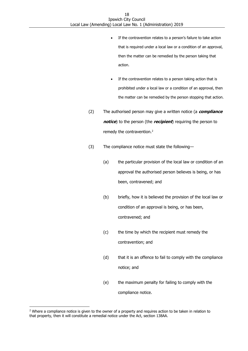- If the contravention relates to a person's failure to take action that is required under a local law or a condition of an approval, then the matter can be remedied by the person taking that action.
- If the contravention relates to a person taking action that is prohibited under a local law or a condition of an approval, then the matter can be remedied by the person stopping that action.
- (2) The authorised person may give a written notice (a **compliance notice**) to the person (the **recipient**) requiring the person to remedy the contravention.<sup>2</sup>
- (3) The compliance notice must state the following—
	- (a) the particular provision of the local law or condition of an approval the authorised person believes is being, or has been, contravened; and
	- (b) briefly, how it is believed the provision of the local law or condition of an approval is being, or has been, contravened; and
	- (c) the time by which the recipient must remedy the contravention; and
	- (d) that it is an offence to fail to comply with the compliance notice; and
	- (e) the maximum penalty for failing to comply with the compliance notice.

-

<sup>&</sup>lt;sup>2</sup> Where a compliance notice is given to the owner of a property and requires action to be taken in relation to that property, then it will constitute a remedial notice under the Act, section 138AA.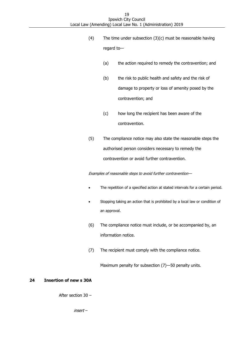- (4) The time under subsection (3)(c) must be reasonable having regard to—
	- (a) the action required to remedy the contravention; and
	- (b) the risk to public health and safety and the risk of damage to property or loss of amenity posed by the contravention; and
	- (c) how long the recipient has been aware of the contravention.
- (5) The compliance notice may also state the reasonable steps the authorised person considers necessary to remedy the contravention or avoid further contravention.

Examples of reasonable steps to avoid further contravention—

- The repetition of a specified action at stated intervals for a certain period.
- Stopping taking an action that is prohibited by a local law or condition of an approval.
- (6) The compliance notice must include, or be accompanied by, an information notice.
- (7) The recipient must comply with the compliance notice.

Maximum penalty for subsection (7)—50 penalty units.

#### <span id="page-18-0"></span>**24 Insertion of new s 30A**

After section 30 –

insert –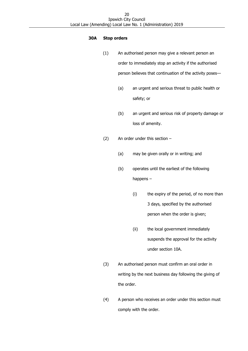#### **30A Stop orders**

- (1) An authorised person may give a relevant person an order to immediately stop an activity if the authorised person believes that continuation of the activity poses—
	- (a) an urgent and serious threat to public health or safety; or
	- (b) an urgent and serious risk of property damage or loss of amenity.
- (2) An order under this section
	- (a) may be given orally or in writing; and
	- (b) operates until the earliest of the following happens –
		- (i) the expiry of the period, of no more than 3 days, specified by the authorised person when the order is given;
		- (ii) the local government immediately suspends the approval for the activity under section 10A.
- (3) An authorised person must confirm an oral order in writing by the next business day following the giving of the order.
- (4) A person who receives an order under this section must comply with the order.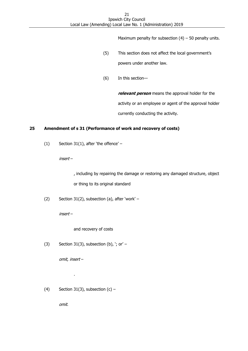Maximum penalty for subsection  $(4)$  – 50 penalty units.

- (5) This section does not affect the local government's powers under another law.
- (6) In this section—

**relevant person** means the approval holder for the activity or an employee or agent of the approval holder currently conducting the activity.

# <span id="page-20-0"></span>**25 Amendment of s 31 (Performance of work and recovery of costs)**

(1) Section 31(1), after 'the offence'  $-$ 

insert –

, including by repairing the damage or restoring any damaged structure, object or thing to its original standard

(2) Section 31(2), subsection (a), after 'work' –

insert –

and recovery of costs

(3) Section 31(3), subsection (b),  $\cdot$ ; or' –

omit, insert –

.

(4) Section 31(3), subsection  $(c)$  –

omit.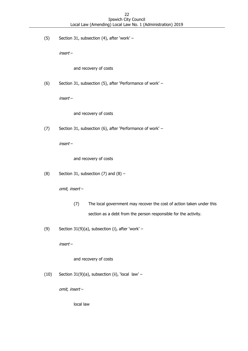(5) Section 31, subsection (4), after 'work' –

insert –

and recovery of costs

(6) Section 31, subsection (5), after 'Performance of work' –

insert –

and recovery of costs

(7) Section 31, subsection (6), after 'Performance of work' –

insert –

and recovery of costs

(8) Section 31, subsection  $(7)$  and  $(8)$  –

omit, insert –

- (7) The local government may recover the cost of action taken under this section as a debt from the person responsible for the activity.
- (9) Section 31(9)(a), subsection (i), after 'work' –

insert –

and recovery of costs

(10) Section 31(9)(a), subsection (ii), 'local law' –

omit, insert –

local law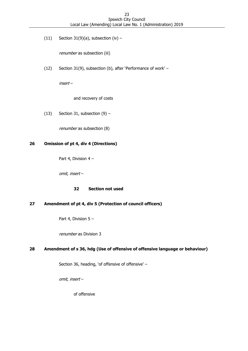(11) Section 31(9)(a), subsection (iv)  $-$ 

renumber as subsection (iii)

(12) Section 31(9), subsection (b), after 'Performance of work' –

insert –

and recovery of costs

(13) Section 31, subsection  $(9)$  –

renumber as subsection (8)

# <span id="page-22-0"></span>**26 Omission of pt 4, div 4 (Directions)**

Part 4, Division 4 –

omit, insert –

# **32 Section not used**

# <span id="page-22-1"></span>**27 Amendment of pt 4, div 5 (Protection of council officers)**

Part 4, Division 5 –

renumber as Division 3

#### <span id="page-22-2"></span>**28 Amendment of s 36, hdg (Use of offensive of offensive language or behaviour)**

Section 36, heading, 'of offensive of offensive' -

omit, insert –

of offensive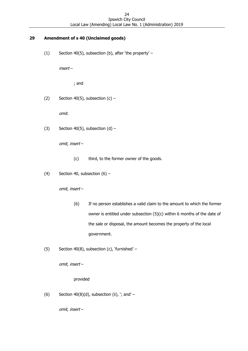# <span id="page-23-0"></span>**29 Amendment of s 40 (Unclaimed goods)**

(1) Section 40(5), subsection (b), after 'the property' –

insert –

; and

(2) Section 40(5), subsection  $(c)$  –

omit.

(3) Section 40(5), subsection  $(d)$  –

omit, insert –

- (c) third, to the former owner of the goods.
- (4) Section 40, subsection  $(6)$  –

omit, insert –

- (6) If no person establishes a valid claim to the amount to which the former owner is entitled under subsection (5)(c) within 6 months of the date of the sale or disposal, the amount becomes the property of the local government.
- (5) Section 40(8), subsection (c), 'furnished' –

omit, insert –

provided

(6) Section  $40(8)(d)$ , subsection (ii), '; and' –

omit, insert –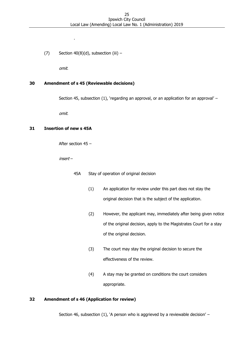(7) Section  $40(8)(d)$ , subsection (iii) –

.

omit.

# <span id="page-24-0"></span>**30 Amendment of s 45 (Reviewable decisions)**

Section 45, subsection (1), 'regarding an approval, or an application for an approval' –

omit.

# <span id="page-24-1"></span>**31 Insertion of new s 45A**

After section 45 –

insert –

- 45A Stay of operation of original decision
	- (1) An application for review under this part does not stay the original decision that is the subject of the application.
	- (2) However, the applicant may, immediately after being given notice of the original decision, apply to the Magistrates Court for a stay of the original decision.
	- (3) The court may stay the original decision to secure the effectiveness of the review.
	- (4) A stay may be granted on conditions the court considers appropriate.

# <span id="page-24-2"></span>**32 Amendment of s 46 (Application for review)**

Section 46, subsection (1), 'A person who is aggrieved by a reviewable decision' -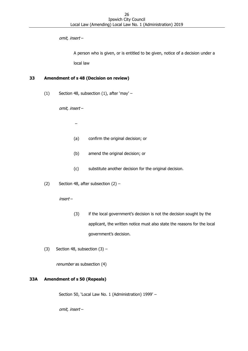omit, insert –

A person who is given, or is entitled to be given, notice of a decision under a local law

### <span id="page-25-0"></span>**33 Amendment of s 48 (Decision on review)**

(1) Section 48, subsection (1), after 'may' –

omit, insert –

–

- (a) confirm the original decision; or
- (b) amend the original decision; or
- (c) substitute another decision for the original decision.
- (2) Section 48, after subsection  $(2)$  –

insert –

- (3) if the local government's decision is not the decision sought by the applicant, the written notice must also state the reasons for the local government's decision.
- (3) Section 48, subsection  $(3)$  –

renumber as subsection (4)

#### <span id="page-25-1"></span>**33A Amendment of s 50 (Repeals)**

Section 50, 'Local Law No. 1 (Administration) 1999' –

omit, insert –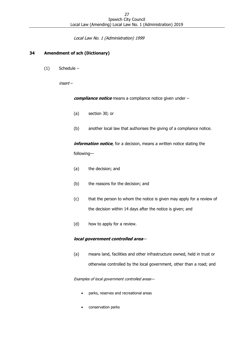Local Law No. 1 (Administration) 1999

### <span id="page-26-0"></span>**34 Amendment of sch (Dictionary)**

(1) Schedule –

insert –

**compliance notice** means a compliance notice given under –

- (a) section 30; or
- (b) another local law that authorises the giving of a compliance notice.

**information notice**, for a decision, means a written notice stating the following—

- (a) the decision; and
- (b) the reasons for the decision; and
- (c) that the person to whom the notice is given may apply for a review of the decision within 14 days after the notice is given; and
- (d) how to apply for a review.

#### **local government controlled area**—

(a) means land, facilities and other infrastructure owned, held in trust or otherwise controlled by the local government, other than a road; and

Examples of local government controlled areas—

- parks, reserves and recreational areas
- conservation parks